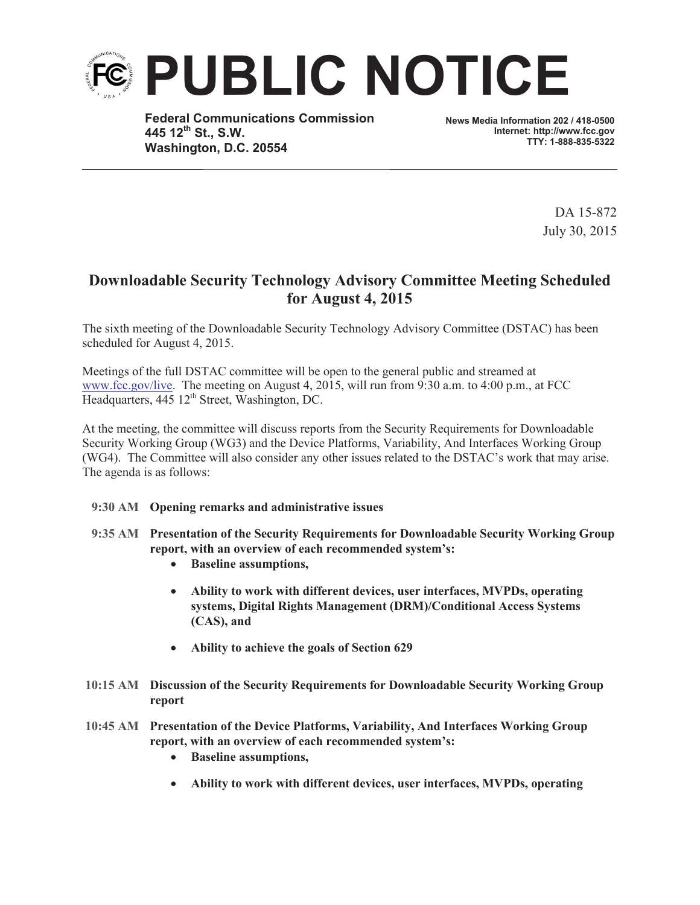

**Federal Communications Commission 445 12th St., S.W. Washington, D.C. 20554**

**News Media Information 202 / 418-0500 Internet: http://www.fcc.gov TTY: 1-888-835-5322**

> DA 15-872 July 30, 2015

## **Downloadable Security Technology Advisory Committee Meeting Scheduled for August 4, 2015**

The sixth meeting of the Downloadable Security Technology Advisory Committee (DSTAC) has been scheduled for August 4, 2015.

Meetings of the full DSTAC committee will be open to the general public and streamed at www.fcc.gov/live. The meeting on August 4, 2015, will run from 9:30 a.m. to 4:00 p.m., at FCC Headquarters, 445 12<sup>th</sup> Street, Washington, DC.

At the meeting, the committee will discuss reports from the Security Requirements for Downloadable Security Working Group (WG3) and the Device Platforms, Variability, And Interfaces Working Group (WG4). The Committee will also consider any other issues related to the DSTAC's work that may arise. The agenda is as follows:

## **9:30 AM Opening remarks and administrative issues**

- **9:35 AM Presentation of the Security Requirements for Downloadable Security Working Group report, with an overview of each recommended system's:**
	- · **Baseline assumptions,**
	- · **Ability to work with different devices, user interfaces, MVPDs, operating systems, Digital Rights Management (DRM)/Conditional Access Systems (CAS), and**
	- · **Ability to achieve the goals of Section 629**
- **10:15 AM Discussion of the Security Requirements for Downloadable Security Working Group report**
- **10:45 AM Presentation of the Device Platforms, Variability, And Interfaces Working Group report, with an overview of each recommended system's:**
	- · **Baseline assumptions,**
	- · **Ability to work with different devices, user interfaces, MVPDs, operating**